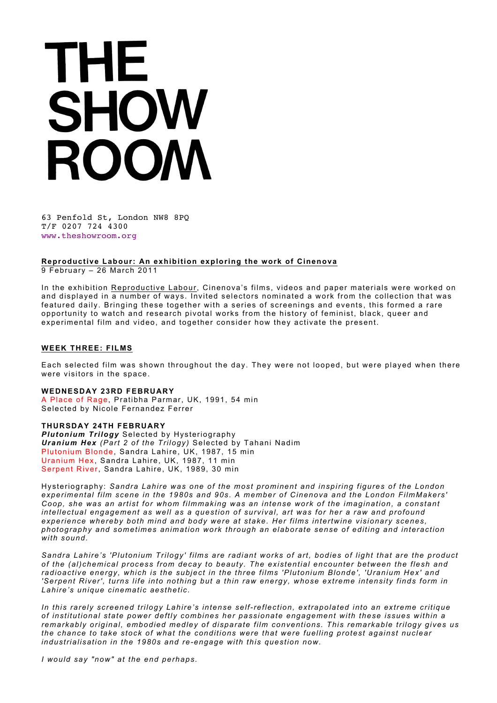# THE SHOW ROOM

63 Penfold St, London NW8 8PQ T/F 0207 724 4300 www.theshowroom.org

**Reproductive Labour: An exhibition exploring the work of Cinenova**

9 February – 26 March 2011

In the exhibition Reproductive Labour, Cinenova's films, videos and paper materials were worked on and displayed in a number of ways. Invited selectors nominated a work from the collection that was featured daily. Bringing these together with a series of screenings and events, this formed a rare opportunity to watch and research pivotal works from the history of feminist, black, queer and experimental film and video, and together consider how they activate the present.

### **WEEK THREE: FILMS**

Each selected film was shown throughout the day. They were not looped, but were played when there were visitors in the space.

### **WEDNESDAY 23RD FEBRUARY**

A Place of Rage, Pratibha Parmar, UK, 1991, 54 min Selected by Nicole Fernandez Ferrer

## **THURSDAY 24TH FEBRUARY**

*Plutonium Trilogy* Selected by Hysteriography *Uranium Hex (Part 2 of the Trilogy)* Selected by Tahani Nadim Plutonium Blonde, Sandra Lahire, UK, 1987, 15 min Uranium Hex, Sandra Lahire, UK, 1987, 11 min Serpent River, Sandra Lahire, UK, 1989, 30 min

Hysteriography: *Sandra Lahire was one of the most prominent and inspiring figures of the London experimental film scene in the 1980s and 90s. A member of Cinenova and the London FilmMakers' Coop, she was an artist for whom filmmaking was an intense work of the imagination, a constant intellectual engagement as well as a question of survival, art was for her a raw and profound experience whereby both mind and body were at stake. Her films intertwine visionary scenes, photography and sometimes animation work through an elaborate sense of editing and interaction with sound.* 

*Sandra Lahire's 'Plutonium Trilogy' films are radiant works of art, bodies of light that are the product of the (al)chemical process from decay to beauty. The existential encounter between the flesh and radioactive energy, which is the subject in the three films 'Plutonium Blonde', 'Uranium Hex' and 'Serpent River', turns life into nothing but a thin raw energy, whose extreme intensity finds form in Lahire's unique cinematic aesthetic.*

*In this rarely screened trilogy Lahire's intense self-reflection, extrapolated into an extreme critique of institutional state power deftly combines her passionate engagement with these issues within a remarkably original, embodied medley of disparate film conventions. This remarkable trilogy gives us the chance to take stock of what the conditions were that were fuelling protest against nuclear industrialisation in the 1980s and re-engage with this question now.*

*I would say "now" at the end perhaps.*